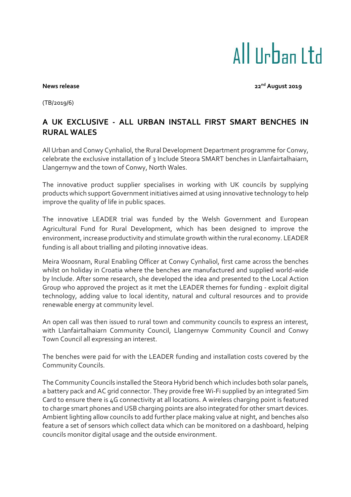## All IIrban I td

**News release** 22<sup>nd</sup> August 2019

(TB/2019/6)

## **A UK EXCLUSIVE - ALL URBAN INSTALL FIRST SMART BENCHES IN RURAL WALES**

All Urban and Conwy Cynhaliol, the Rural Development Department programme for Conwy, celebrate the exclusive installation of 3 Include Steora SMART benches in Llanfairtalhaiarn, Llangernyw and the town of Conwy, North Wales.

The innovative product supplier specialises in working with UK councils by supplying products which support Government initiatives aimed at using innovative technology to help improve the quality of life in public spaces.

The innovative LEADER trial was funded by the Welsh Government and European Agricultural Fund for Rural Development, which has been designed to improve the environment, increase productivity and stimulate growth within the rural economy. LEADER funding is all about trialling and piloting innovative ideas.

Meira Woosnam, Rural Enabling Officer at Conwy Cynhaliol, first came across the benches whilst on holiday in Croatia where the benches are manufactured and supplied world-wide by Include. After some research, she developed the idea and presented to the Local Action Group who approved the project as it met the LEADER themes for funding - exploit digital technology, adding value to local identity, natural and cultural resources and to provide renewable energy at community level.

An open call was then issued to rural town and community councils to express an interest, with Llanfairtalhaiarn Community Council, Llangernyw Community Council and Conwy Town Council all expressing an interest.

The benches were paid for with the LEADER funding and installation costs covered by the Community Councils.

The Community Councils installed the Steora Hybrid bench which includes both solar panels, a battery pack and AC grid connector. They provide free Wi-Fi supplied by an integrated Sim Card to ensure there is 4G connectivity at all locations. A wireless charging point is featured to charge smart phones and USB charging points are also integrated for other smart devices. Ambient lighting allow councils to add further place making value at night, and benches also feature a set of sensors which collect data which can be monitored on a dashboard, helping councils monitor digital usage and the outside environment.